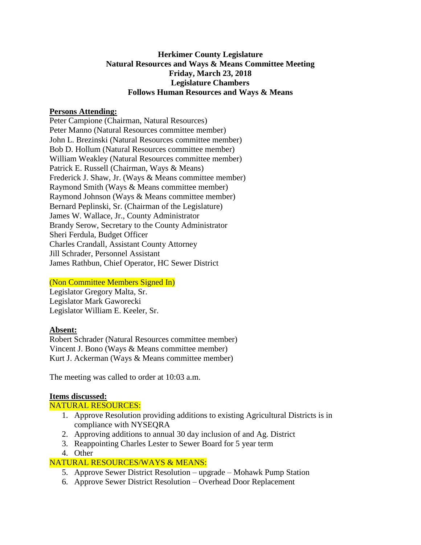# **Herkimer County Legislature Natural Resources and Ways & Means Committee Meeting Friday, March 23, 2018 Legislature Chambers Follows Human Resources and Ways & Means**

### **Persons Attending:**

Peter Campione (Chairman, Natural Resources) Peter Manno (Natural Resources committee member) John L. Brezinski (Natural Resources committee member) Bob D. Hollum (Natural Resources committee member) William Weakley (Natural Resources committee member) Patrick E. Russell (Chairman, Ways & Means) Frederick J. Shaw, Jr. (Ways & Means committee member) Raymond Smith (Ways & Means committee member) Raymond Johnson (Ways & Means committee member) Bernard Peplinski, Sr. (Chairman of the Legislature) James W. Wallace, Jr., County Administrator Brandy Serow, Secretary to the County Administrator Sheri Ferdula, Budget Officer Charles Crandall, Assistant County Attorney Jill Schrader, Personnel Assistant James Rathbun, Chief Operator, HC Sewer District

# (Non Committee Members Signed In)

Legislator Gregory Malta, Sr. Legislator Mark Gaworecki Legislator William E. Keeler, Sr.

## **Absent:**

Robert Schrader (Natural Resources committee member) Vincent J. Bono (Ways & Means committee member) Kurt J. Ackerman (Ways & Means committee member)

The meeting was called to order at 10:03 a.m.

#### **Items discussed:**

NATURAL RESOURCES:

- 1. Approve Resolution providing additions to existing Agricultural Districts is in compliance with NYSEQRA
- 2. Approving additions to annual 30 day inclusion of and Ag. District
- 3. Reappointing Charles Lester to Sewer Board for 5 year term
- 4. Other

# NATURAL RESOURCES/WAYS & MEANS:

- 5. Approve Sewer District Resolution upgrade Mohawk Pump Station
- 6. Approve Sewer District Resolution Overhead Door Replacement